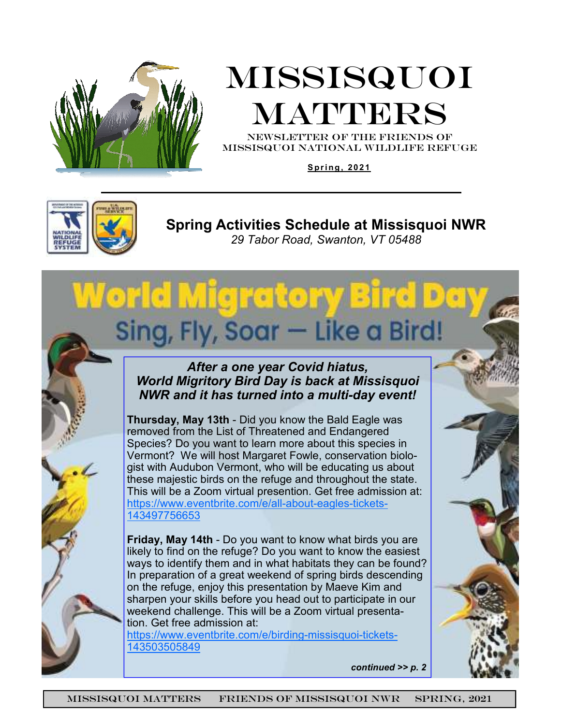

# Missisquoi MATTERS

NEWSLETTER OF THE Friends of missisquoi national Wildlife refuge

**S p r i ng , 20 21** 



**Spring Activities Schedule at Missisquoi NWR**  *29 Tabor Road, Swanton, VT 05488*

#### *After a one year Covid hiatus, World Migritory Bird Day is back at Missisquoi NWR and it has turned into a multi-day event!*

Sing, Fly, Soar - Like a Bird!

World Migratory Bird

**Thursday, May 13th** - Did you know the Bald Eagle was removed from the List of Threatened and Endangered Species? Do you want to learn more about this species in Vermont? We will host Margaret Fowle, conservation biologist with Audubon Vermont, who will be educating us about these majestic birds on the refuge and throughout the state. This will be a Zoom virtual presention. Get free admission at: https://www.eventbrite.com/e/all-about-eagles-tickets-143497756653

**Friday, May 14th** - Do you want to know what birds you are likely to find on the refuge? Do you want to know the easiest ways to identify them and in what habitats they can be found? In preparation of a great weekend of spring birds descending on the refuge, enjoy this presentation by Maeve Kim and sharpen your skills before you head out to participate in our weekend challenge. This will be a Zoom virtual presentation. Get free admission at:

https://www.eventbrite.com/e/birding-missisquoi-tickets-143503505849

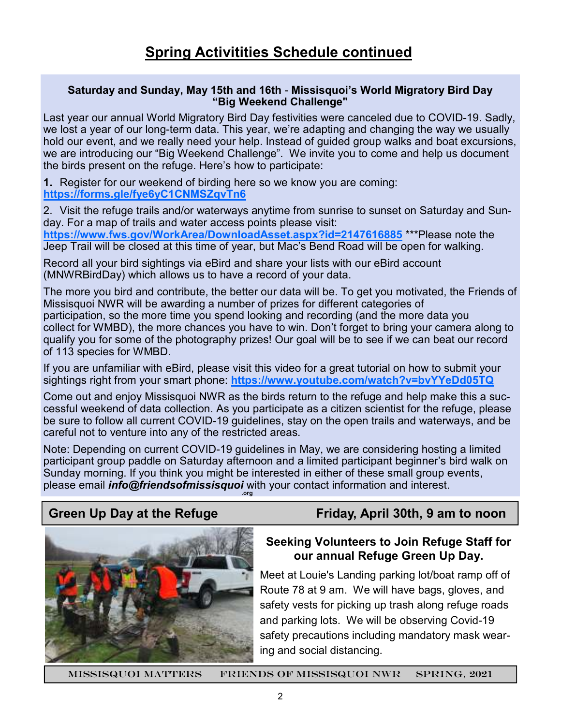#### **Saturday and Sunday, May 15th and 16th** - **Missisquoi's World Migratory Bird Day "Big Weekend Challenge"**

Last year our annual World Migratory Bird Day festivities were canceled due to COVID-19. Sadly, we lost a year of our long-term data. This year, we're adapting and changing the way we usually hold our event, and we really need your help. Instead of guided group walks and boat excursions, we are introducing our "Big Weekend Challenge". We invite you to come and help us document the birds present on the refuge. Here's how to participate:

**1.** Register for our weekend of birding here so we know you are coming: **https://forms.gle/fye6yC1CNMSZqvTn6**

2. Visit the refuge trails and/or waterways anytime from sunrise to sunset on Saturday and Sunday. For a map of trails and water access points please visit:

**https://www.fws.gov/WorkArea/DownloadAsset.aspx?id=2147616885** \*\*\*Please note the Jeep Trail will be closed at this time of year, but Mac's Bend Road will be open for walking.

Record all your bird sightings via eBird and share your lists with our eBird account (MNWRBirdDay) which allows us to have a record of your data.

The more you bird and contribute, the better our data will be. To get you motivated, the Friends of Missisquoi NWR will be awarding a number of prizes for different categories of participation, so the more time you spend looking and recording (and the more data you collect for WMBD), the more chances you have to win. Don't forget to bring your camera along to qualify you for some of the photography prizes! Our goal will be to see if we can beat our record of 113 species for WMBD.

If you are unfamiliar with eBird, please visit this video for a great tutorial on how to submit your sightings right from your smart phone: **https://www.youtube.com/watch?v=bvYYeDd05TQ**

Come out and enjoy Missisquoi NWR as the birds return to the refuge and help make this a successful weekend of data collection. As you participate as a citizen scientist for the refuge, please be sure to follow all current COVID-19 guidelines, stay on the open trails and waterways, and be careful not to venture into any of the restricted areas.

Note: Depending on current COVID-19 guidelines in May, we are considering hosting a limited participant group paddle on Saturday afternoon and a limited participant beginner's bird walk on Sunday morning. If you think you might be interested in either of these small group events, please email *info@friendsofmissisquoi* with your contact information and interest. **.org**



### **Green Up Day at the Refuge Friday, April 30th, 9 am to noon**

#### **Seeking Volunteers to Join Refuge Staff for our annual Refuge Green Up Day.**

Meet at Louie's Landing parking lot/boat ramp off of Route 78 at 9 am. We will have bags, gloves, and safety vests for picking up trash along refuge roads and parking lots. We will be observing Covid-19 safety precautions including mandatory mask wearing and social distancing.

missisquoi matters Friends of Missisquoi NWR Spring, 2021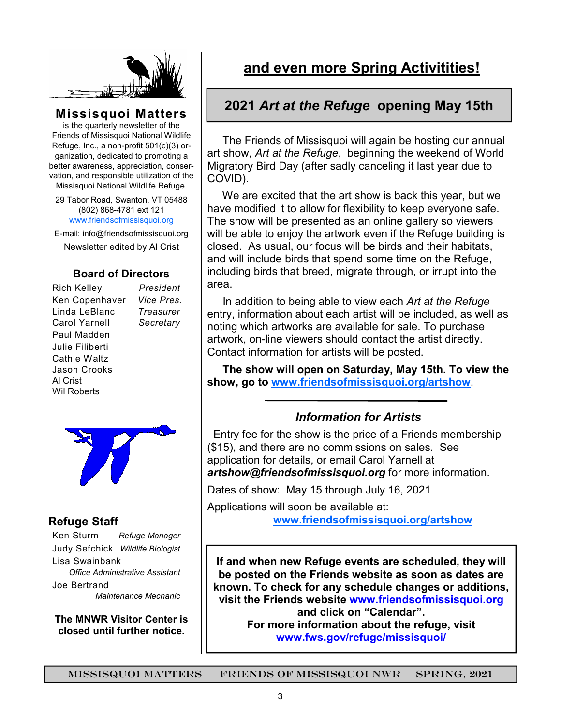

#### **Missisquoi Matters**

is the quarterly newsletter of the Friends of Missisquoi National Wildlife Refuge, Inc., a non-profit 501(c)(3) organization, dedicated to promoting a better awareness, appreciation, conservation, and responsible utilization of the Missisquoi National Wildlife Refuge.

29 Tabor Road, Swanton, VT 05488 (802) 868-4781 ext 121 www.friendsofmissisquoi.org

E-mail: info@friendsofmissisquoi.org Newsletter edited by Al Crist

#### **Board of Directors**

Rich Kelley *President* Ken Copenhaver *Vice Pres.* Linda LeBlanc *Treasurer* Carol Yarnell *Secretary*  Paul Madden Julie Filiberti Cathie Waltz Jason Crooks Al Crist Wil Roberts





#### **Refuge Staff**

Ken Sturm *Refuge Manager* Judy Sefchick *Wildlife Biologist* Lisa Swainbank *Office Administrative Assistant*  Joe Bertrand  *Maintenance Mechanic* 

**The MNWR Visitor Center is closed until further notice.**

### **and even more Spring Activitities!**

#### **2021** *Art at the Refuge* **opening May 15th**

 The Friends of Missisquoi will again be hosting our annual art show, *Art at the Refuge*, beginning the weekend of World Migratory Bird Day (after sadly canceling it last year due to COVID).

 We are excited that the art show is back this year, but we have modified it to allow for flexibility to keep everyone safe. The show will be presented as an online gallery so viewers will be able to enjoy the artwork even if the Refuge building is closed. As usual, our focus will be birds and their habitats, and will include birds that spend some time on the Refuge, including birds that breed, migrate through, or irrupt into the area.

 In addition to being able to view each *Art at the Refuge*  entry, information about each artist will be included, as well as noting which artworks are available for sale. To purchase artwork, on-line viewers should contact the artist directly. Contact information for artists will be posted.

 **The show will open on Saturday, May 15th. To view the show, go to www.friendsofmissisquoi.org/artshow**.

#### *Information for Artists*

 Entry fee for the show is the price of a Friends membership (\$15), and there are no commissions on sales. See application for details, or email Carol Yarnell at *artshow@friendsofmissisquoi.org* for more information.

Dates of show: May 15 through July 16, 2021

Applications will soon be available at:

**www.friendsofmissisquoi.org/artshow**

**If and when new Refuge events are scheduled, they will be posted on the Friends website as soon as dates are known. To check for any schedule changes or additions, visit the Friends website www.friendsofmissisquoi.org and click on "Calendar". For more information about the refuge, visit www.fws.gov/refuge/missisquoi/**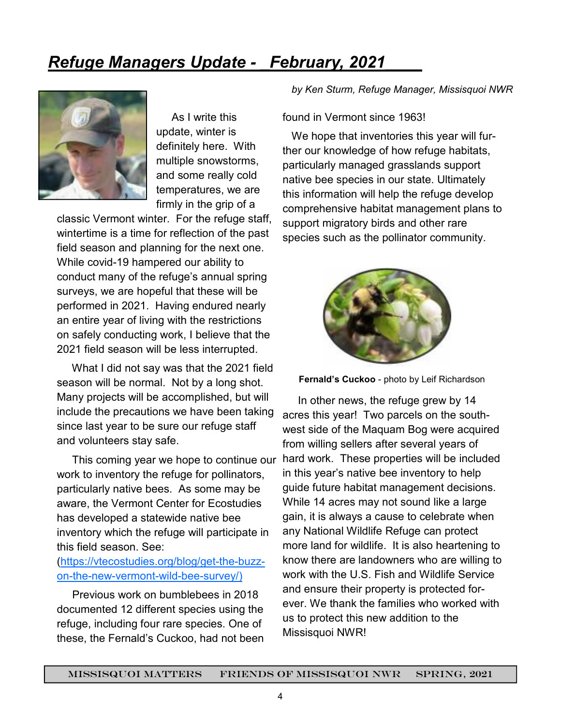## *Refuge Managers Update - \_February, 2021\_\_\_\_*



 As I write this update, winter is definitely here. With multiple snowstorms, and some really cold temperatures, we are firmly in the grip of a

classic Vermont winter. For the refuge staff, wintertime is a time for reflection of the past field season and planning for the next one. While covid-19 hampered our ability to conduct many of the refuge's annual spring surveys, we are hopeful that these will be performed in 2021. Having endured nearly an entire year of living with the restrictions on safely conducting work, I believe that the 2021 field season will be less interrupted.

 What I did not say was that the 2021 field season will be normal. Not by a long shot. Many projects will be accomplished, but will include the precautions we have been taking since last year to be sure our refuge staff and volunteers stay safe.

 This coming year we hope to continue our work to inventory the refuge for pollinators, particularly native bees. As some may be aware, the Vermont Center for Ecostudies has developed a statewide native bee inventory which the refuge will participate in this field season. See:

#### (https://vtecostudies.org/blog/get-the-buzzon-the-new-vermont-wild-bee-survey/)

 Previous work on bumblebees in 2018 documented 12 different species using the refuge, including four rare species. One of these, the Fernald's Cuckoo, had not been *by Ken Sturm, Refuge Manager, Missisquoi NWR* 

#### found in Vermont since 1963!

 We hope that inventories this year will further our knowledge of how refuge habitats, particularly managed grasslands support native bee species in our state. Ultimately this information will help the refuge develop comprehensive habitat management plans to support migratory birds and other rare species such as the pollinator community.



**Fernald's Cuckoo** - photo by Leif Richardson

 In other news, the refuge grew by 14 acres this year! Two parcels on the southwest side of the Maquam Bog were acquired from willing sellers after several years of hard work. These properties will be included in this year's native bee inventory to help guide future habitat management decisions. While 14 acres may not sound like a large gain, it is always a cause to celebrate when any National Wildlife Refuge can protect more land for wildlife. It is also heartening to know there are landowners who are willing to work with the U.S. Fish and Wildlife Service and ensure their property is protected forever. We thank the families who worked with us to protect this new addition to the Missisquoi NWR!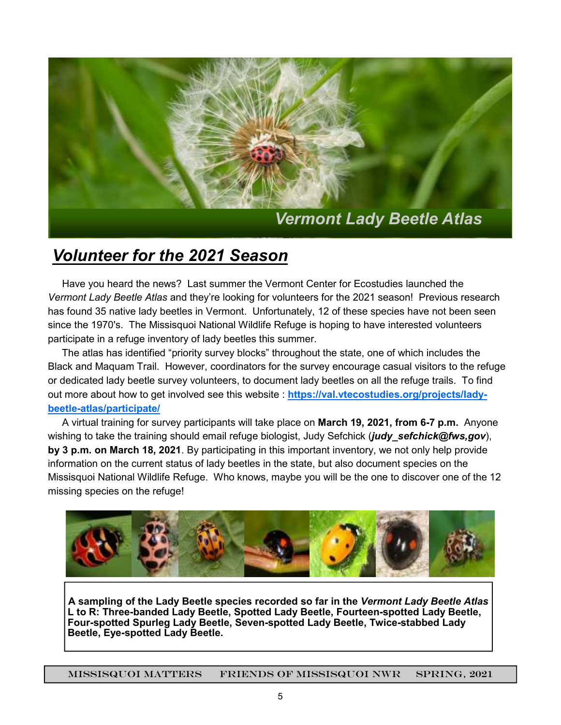

### *Volunteer for the 2021 Season*

 Have you heard the news? Last summer the Vermont Center for Ecostudies launched the *Vermont Lady Beetle Atlas* and they're looking for volunteers for the 2021 season! Previous research has found 35 native lady beetles in Vermont. Unfortunately, 12 of these species have not been seen since the 1970's. The Missisquoi National Wildlife Refuge is hoping to have interested volunteers participate in a refuge inventory of lady beetles this summer.

 The atlas has identified "priority survey blocks" throughout the state, one of which includes the Black and Maquam Trail. However, coordinators for the survey encourage casual visitors to the refuge or dedicated lady beetle survey volunteers, to document lady beetles on all the refuge trails. To find out more about how to get involved see this website : **https://val.vtecostudies.org/projects/ladybeetle-atlas/participate/**

 A virtual training for survey participants will take place on **March 19, 2021, from 6-7 p.m.** Anyone wishing to take the training should email refuge biologist, Judy Sefchick (*judy sefchick@fws,gov*), **by 3 p.m. on March 18, 2021**. By participating in this important inventory, we not only help provide information on the current status of lady beetles in the state, but also document species on the Missisquoi National Wildlife Refuge. Who knows, maybe you will be the one to discover one of the 12 missing species on the refuge!



**A sampling of the Lady Beetle species recorded so far in the** *Vermont Lady Beetle Atlas* **L to R: Three-banded Lady Beetle, Spotted Lady Beetle, Fourteen-spotted Lady Beetle, Four-spotted Spurleg Lady Beetle, Seven-spotted Lady Beetle, Twice-stabbed Lady Beetle, Eye-spotted Lady Beetle.** 

missisquoi matters Friends of Missisquoi NWR SPRING, 2021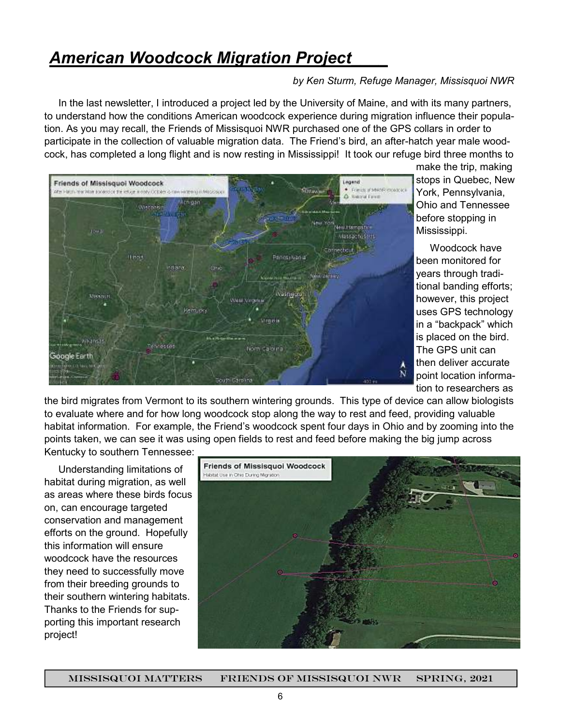### *American Woodcock Migration Project\_\_\_\_*

#### *by Ken Sturm, Refuge Manager, Missisquoi NWR*

 In the last newsletter, I introduced a project led by the University of Maine, and with its many partners, to understand how the conditions American woodcock experience during migration influence their population. As you may recall, the Friends of Missisquoi NWR purchased one of the GPS collars in order to participate in the collection of valuable migration data. The Friend's bird, an after-hatch year male woodcock, has completed a long flight and is now resting in Mississippi! It took our refuge bird three months to



make the trip, making stops in Quebec, New York, Pennsylvania, Ohio and Tennessee before stopping in Mississippi.

 Woodcock have been monitored for years through traditional banding efforts; however, this project uses GPS technology in a "backpack" which is placed on the bird. The GPS unit can then deliver accurate point location information to researchers as

the bird migrates from Vermont to its southern wintering grounds. This type of device can allow biologists to evaluate where and for how long woodcock stop along the way to rest and feed, providing valuable habitat information. For example, the Friend's woodcock spent four days in Ohio and by zooming into the points taken, we can see it was using open fields to rest and feed before making the big jump across Kentucky to southern Tennessee:

 Understanding limitations of habitat during migration, as well as areas where these birds focus on, can encourage targeted conservation and management efforts on the ground. Hopefully this information will ensure woodcock have the resources they need to successfully move from their breeding grounds to their southern wintering habitats. Thanks to the Friends for supporting this important research project!

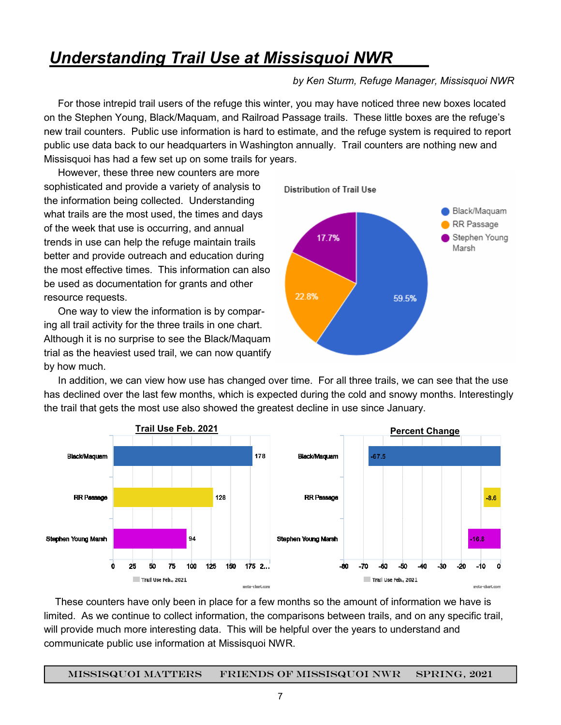### *Understanding Trail Use at Missisquoi NWR\_\_\_\_*

#### *by Ken Sturm, Refuge Manager, Missisquoi NWR*

 For those intrepid trail users of the refuge this winter, you may have noticed three new boxes located on the Stephen Young, Black/Maquam, and Railroad Passage trails. These little boxes are the refuge's new trail counters. Public use information is hard to estimate, and the refuge system is required to report public use data back to our headquarters in Washington annually. Trail counters are nothing new and Missisquoi has had a few set up on some trails for years.

 However, these three new counters are more sophisticated and provide a variety of analysis to the information being collected. Understanding what trails are the most used, the times and days of the week that use is occurring, and annual trends in use can help the refuge maintain trails better and provide outreach and education during the most effective times. This information can also be used as documentation for grants and other resource requests.

 One way to view the information is by comparing all trail activity for the three trails in one chart. Although it is no surprise to see the Black/Maquam trial as the heaviest used trail, we can now quantify by how much.



 In addition, we can view how use has changed over time. For all three trails, we can see that the use has declined over the last few months, which is expected during the cold and snowy months. Interestingly the trail that gets the most use also showed the greatest decline in use since January.



 These counters have only been in place for a few months so the amount of information we have is limited. As we continue to collect information, the comparisons between trails, and on any specific trail, will provide much more interesting data. This will be helpful over the years to understand and communicate public use information at Missisquoi NWR.

missisquoi matters Friends of Missisquoi NWR SPRING, 2021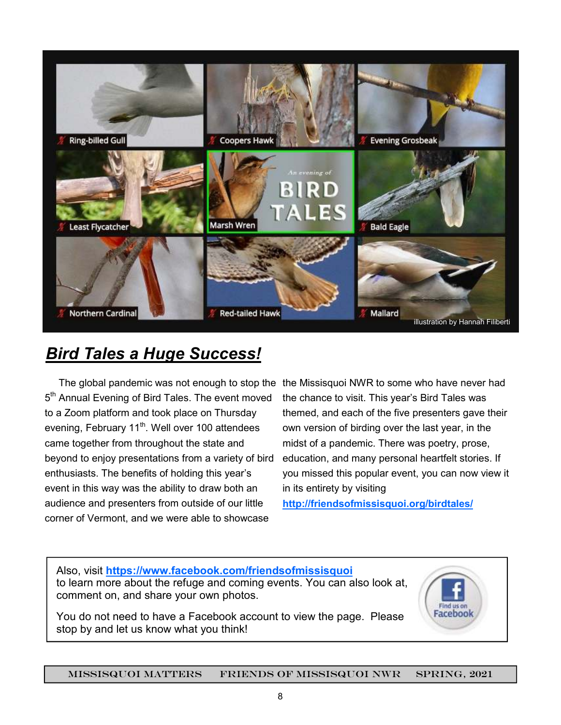

## *Bird Tales a Huge Success!*

The global pandemic was not enough to stop the the Missisquoi NWR to some who have never had 5<sup>th</sup> Annual Evening of Bird Tales. The event moved to a Zoom platform and took place on Thursday evening, February 11<sup>th</sup>. Well over 100 attendees came together from throughout the state and beyond to enjoy presentations from a variety of bird enthusiasts. The benefits of holding this year's event in this way was the ability to draw both an audience and presenters from outside of our little corner of Vermont, and we were able to showcase

the chance to visit. This year's Bird Tales was themed, and each of the five presenters gave their own version of birding over the last year, in the midst of a pandemic. There was poetry, prose, education, and many personal heartfelt stories. If you missed this popular event, you can now view it in its entirety by visiting

**http://friendsofmissisquoi.org/birdtales/**

Also, visit **https://www.facebook.com/friendsofmissisquoi**  to learn more about the refuge and coming events. You can also look at, comment on, and share your own photos.

You do not need to have a Facebook account to view the page. Please stop by and let us know what you think!

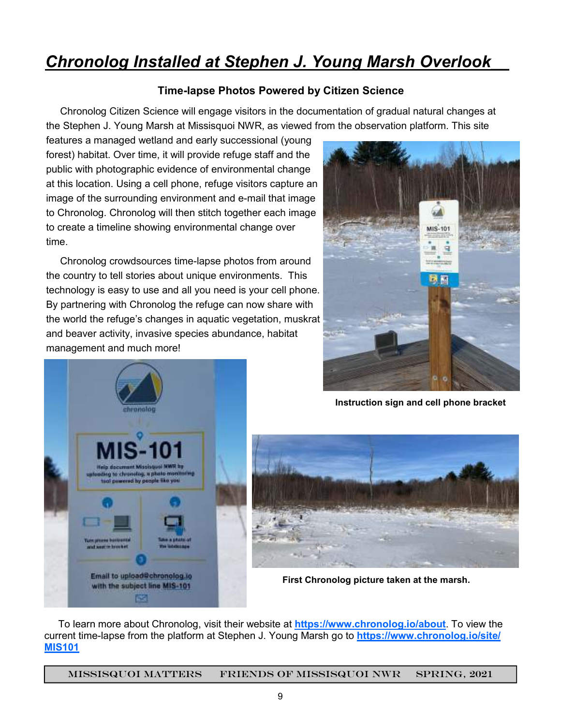### *Chronolog Installed at Stephen J. Young Marsh Overlook\_\_*

#### **Time-lapse Photos Powered by Citizen Science**

 Chronolog Citizen Science will engage visitors in the documentation of gradual natural changes at the Stephen J. Young Marsh at Missisquoi NWR, as viewed from the observation platform. This site

features a managed wetland and early successional (young forest) habitat. Over time, it will provide refuge staff and the public with photographic evidence of environmental change at this location. Using a cell phone, refuge visitors capture an image of the surrounding environment and e-mail that image to Chronolog. Chronolog will then stitch together each image to create a timeline showing environmental change over time.

 Chronolog crowdsources time-lapse photos from around the country to tell stories about unique environments. This technology is easy to use and all you need is your cell phone. By partnering with Chronolog the refuge can now share with the world the refuge's changes in aquatic vegetation, muskrat and beaver activity, invasive species abundance, habitat management and much more!





**Instruction sign and cell phone bracket** 



**First Chronolog picture taken at the marsh.** 

 To learn more about Chronolog, visit their website at **https://www.chronolog.io/about**. To view the current time-lapse from the platform at Stephen J. Young Marsh go to **https://www.chronolog.io/site/ MIS101**